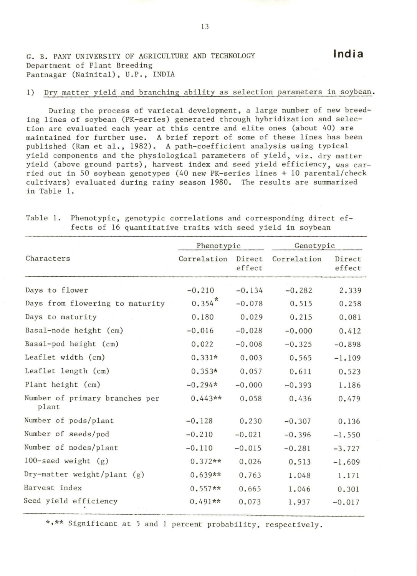G. B. PANT UNIVERSITY OF AGRICULTURE AND TECHNOLOGY Department of Plant Breeding Pantnagar (Nainital), U.P., INDIA

## 1) Dry matter yield and branching ability as selection parameters in soybean.

During the process of varietal development, a large number of new breeding lines of soybean (PK-series) generated through hybridization and selection are evaluated each year at this centre and elite ones (about 40) are maintained for further use. A brief report of some of these lines has been published (Ram et al., 1982). A path-coefficient analysis using typical yield components and the physiological parameters of yield, viz. dry matter yield (above ground parts), harvest index and seed yield efficiency, was carried out in 50 soybean genotypes (40 new PK-series lines + 10 parental/check cultivars) evaluated during rainy season 1980. The results are summarized in Table 1.

| Characters                              | Phenotypic  |                  | Genotypic   |                  |
|-----------------------------------------|-------------|------------------|-------------|------------------|
|                                         | Correlation | Direct<br>effect | Correlation | Direct<br>effect |
| Days to flower                          | $-0.210$    | $-0.134$         | $-0.282$    | 2.339            |
| Days from flowering to maturity         | $0.354*$    | $-0.078$         | 0.515       | 0.258            |
| Days to maturity                        | 0.180       | 0.029            | 0.215       | 0.081            |
| Basal-node height (cm)                  | $-0.016$    | $-0.028$         | $-0.000$    | 0.412            |
| Basal-pod height (cm)                   | 0.022       | $-0.008$         | $-0.325$    | $-0.898$         |
| Leaflet width (cm)                      | $0.331*$    | 0.003            | 0.565       | $-1.109$         |
| Leaflet length (cm)                     | $0.353*$    | 0.057            | 0.611       | 0.523            |
| Plant height (cm)                       | $-0.294*$   | $-0.000$         | $-0.393$    | 1.186            |
| Number of primary branches per<br>plant | $0.443**$   | 0.058            | 0.436       | 0.479            |
| Number of pods/plant                    | $-0.128$    | 0.230            | $-0.307$    | 0.136            |
| Number of seeds/pod                     | $-0.210$    | $-0.021$         | $-0.396$    | $-1.550$         |
| Number of nodes/plant                   | $-0.110$    | $-0.015$         | $-0.281$    | $-3.727$         |
| 100-seed weight $(g)$                   | $0.372**$   | 0.026            | 0.513       | $-1.609$         |
| Dry-matter weight/plant $(g)$           | $0.639**$   | 0.763            | 1.048       | 1.171            |
| Harvest index                           | $0.557**$   | 0.665            | 1.046       | 0.301            |
| Seed yield efficiency                   | $0.491**$   | 0.073            | 1.937       | $-0.017$         |

Table 1. Phenotypic, genotypic correlations and corresponding direct effects of 16 quantitative traits with seed yield in soybean

\*•\*\* Significant at 5 and 1 percent probability, respectively .

**India**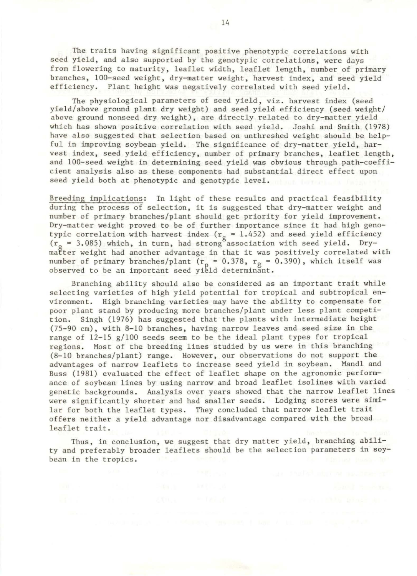The traits having significant positive phenotypic correlations with seed yield, and also supported by the genotypic correlations, were days from flowering to maturity, leaflet width, leaflet length, number of primary branches, 100-seed weight, dry-matter weight, harvest index, and seed yield efficiency. Plant height was negatively correlated with seed yield.

The physiological parameters of seed yield, viz. harvest index (seed yield/above ground plant dry weight) and seed yield efficiency (seed weight/ above ground nonseed dry weight), are directly related to dry-matter yield which has shown positive correlation with seed yield. Joshi and Smith (1978) have also suggested that selection based on unthreshed weight should be helpful in improving soybean yield. The significance of dry-matter yield, harvest index, seed yield efficiency, number of primary branches, leaflet length, and 100-seed weight in determining seed yield was obvious through path-coefficient analysis also as these components had substantial direct effect upon seed yield both at phenotypic and genotypic level .

Breeding implications: In light of these results and practical feasibility during the process of selection, it is suggested that dry-matter weight and number of primary branches/plant should get priority for yield improvement . Dry-matter weight proved to be of further importance since it had high genotypic correlation with harvest index ( $r_g = 1.452$ ) and seed yield efficiency  $(r_{\alpha} = 3.085)$  which, in turn, had strong association with seed yield. Drymatter weight had another advantage in that it was positively correlated with number of primary branches/plant ( $r_p = 0.378$ ,  $r_g = 0.390$ ), which itself was observed to be an important seed yield determinant.

Branching ability should also be considered as an important trait while selecting varieties of high yield potential for tropical and subtropical environment. High branching varieties may have the ability to compensate for poor plant stand by producing more branches/plant under less plant competition. Singh (1976) has suggested that the plants with intermediate height (75-90 cm), with 8-10 branches, having narrow leaves and seed size in the range of  $12-15$  g/100 seeds seem to be the ideal plant types for tropical regions. Most of the breeding lines studied by us were in this branching (8- 10 branches/plant) range . However, our observations do not support the advantages of narrow leaflets to increase seed yield in soybean. Mandl and Buss (1981) evaluated the effect of leaflet shape on the agronomic performance of soybean lines by using narrow and broad leaflet isolines with varied genetic backgrounds. Analysis over years showed that the narrow leaflet lines were significantly shorter and had smaller seeds. Lodging scores were similar for both the leaflet types. They concluded that narrow leaflet trait offers neither a yield advantage nor disadvantage compared with the broad leaflet trait.

Thus, in conclusion, we suggest that dry matter yield, branching ability and preferably broader leaflets should be the selection parameters in soybean in the tropics.